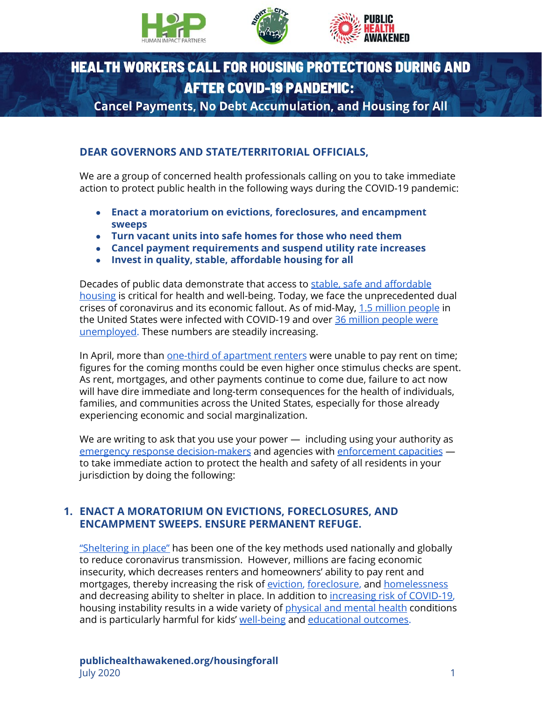





# **HEALTH WORKERS CALL FOR HOUSING PROTECTIONS DURING AND AFTER COVID-19 PANDEMIC:**

**Cancel Payments, No Debt Accumulation, and Housing for All** 

## **DEAR GOVERNORS AND STATE/TERRITORIAL OFFICIALS,**

We are a group of concerned health professionals calling on you to take immediate action to protect public health in the following ways during the COVID-19 pandemic:

- **● Enact a moratorium on evictions, foreclosures, and encampment sweeps**
- **● Turn vacant units into safe homes for those who need them**
- **● Cancel payment requirements and suspend utility rate increases**
- **● Invest in quality, stable, affordable housing for all**

Decades of public data demonstrate that access to [stable, safe and affordable](https://www.healthaffairs.org/do/10.1377/hpb20180313.396577/full/) [housing](https://www.healthaffairs.org/do/10.1377/hpb20180313.396577/full/) is critical for health and well-being. Today, we face the unprecedented dual crises of coronavirus and its economic fallout. As of mid-May, [1.5 million people](https://www.cdc.gov/coronavirus/2019-ncov/cases-updates/cases-in-us.html) in the United States were infected with COVID-19 and over [36 million people were](https://www.nytimes.com/2020/05/14/business/economy/coronavirus-unemployment-claims.html) [unemployed](https://www.nytimes.com/2020/05/14/business/economy/coronavirus-unemployment-claims.html). These numbers are steadily increasing.

In April, more than [one-third of apartment renters](https://edition.cnn.com/2020/04/09/business/americans-rent-payment-trnd/index.html) were unable to pay rent on time; figures for the coming months could be even higher once stimulus checks are spent. As rent, mortgages, and other payments continue to come due, failure to act now will have dire immediate and long-term consequences for the health of individuals, families, and communities across the United States, especially for those already experiencing economic and social marginalization.

We are writing to ask that you use your power  $-$  including using your authority as [emergency response decision-makers](https://astho.org/Programs/Preparedness/Public-Health-Emergency-Law/Emergency-Authority-and-Immunity-Toolkit/Emergency-Declarations-and-Authorities-Fact-Sheet/) and agencies with [enforcement capacities](https://www.changelabsolutions.org/blog/equitable-enforcement-public-health-laws) to take immediate action to protect the health and safety of all residents in your jurisdiction by doing the following:

#### **1. ENACT A MORATORIUM ON EVICTIONS, FORECLOSURES, AND ENCAMPMENT SWEEPS. ENSURE PERMANENT REFUGE.**

["Sheltering in place"](https://www.medrxiv.org/content/10.1101/2020.05.01.20088179v1.full.pdf) has been one of the key methods used nationally and globally to reduce coronavirus transmission. However, millions are facing economic insecurity, which decreases renters and homeowners' ability to pay rent and mortgages, thereby increasing the risk of [eviction,](https://scholar.harvard.edu/files/mdesmond/files/desmondkimbro.evictions.fallout.sf2015_2.pdf) [foreclosure,](https://www.ncbi.nlm.nih.gov/pmc/articles/PMC4388711/) and [homelessness](https://www.aafp.org/afp/2014/0415/p634.html) and decreasing ability to shelter in place. In addition to [increasing risk of COVID-19,](https://nlihc.org/resource/nlihc-releases-interactive-housing-instability-and-covid-19-map) housing instability results in a wide variety of [physical and mental health](https://www.changelabsolutions.org/sites/default/files/HealthHousingStarterKit-HealthEffects-FINAL-20180531_0.pdf) conditions and is particularly harmful for kids' [well-being](https://pediatrics.aappublications.org/content/early/2018/01/18/peds.2017-2199) and [educational outcomes.](https://tacomahousing.net/sites/default/files/print_pdf/Education/Urban%20Institute%20THA%20Homelessness%20and%20Education%202014-12-22.pdf)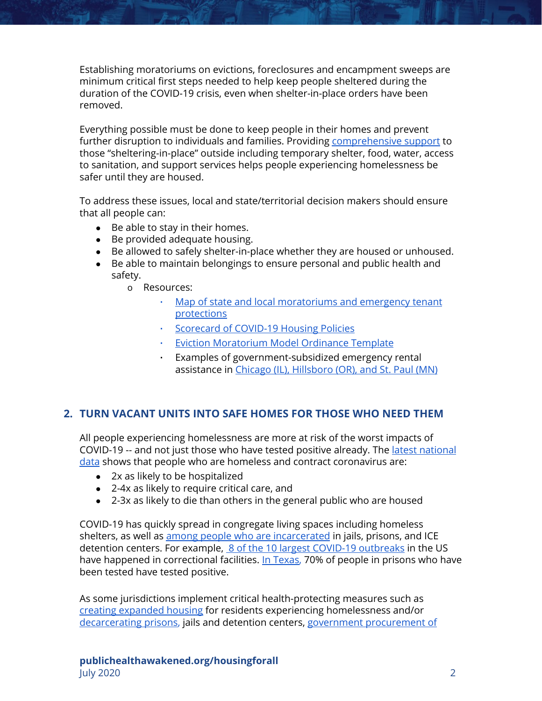Establishing moratoriums on evictions, foreclosures and encampment sweeps are minimum critical first steps needed to help keep people sheltered during the duration of the COVID-19 crisis, even when shelter-in-place orders have been removed.

Everything possible must be done to keep people in their homes and prevent further disruption to individuals and families. Providing [comprehensive support](https://docs.google.com/document/d/1prJjEys73C6l_KqJj-KU7NLI1ntlNs00U51SqVSWpG4/edit) to those "sheltering-in-place" outside including temporary shelter, food, water, access to sanitation, and support services helps people experiencing homelessness be safer until they are housed.

To address these issues, local and state/territorial decision makers should ensure that all people can:

- Be able to stay in their homes.
- Be provided adequate housing.
- Be allowed to safely shelter-in-place whether they are housed or unhoused.
- Be able to maintain belongings to ensure personal and public health and safety.

o Resources:

- . [Map of state and local moratoriums and emergency tenant](https://antievictionmappingproject.github.io/covid-19-map/#close) [protections](https://antievictionmappingproject.github.io/covid-19-map/#close)
- [Scorecard of COVID-19 Housing Policies](https://evictionlab.org/covid-policy-scorecard/)
- **[Eviction Moratorium Model Ordinance Template](https://ourhomesourhealth.org/eviction-moratorium/model-ordinance)**
- Examples of government-subsidized emergency rental assistance in [Chicago \(IL\), Hillsboro \(OR\), and St. Paul \(MN\)](https://citiesspeak.org/2020/04/17/the-case-for-rental-assistance-why-it-is-necessary-and-how-cities-can-fund-it/)

#### **2. TURN VACANT UNITS INTO SAFE HOMES FOR THOSE WHO NEED THEM**

All people experiencing homelessness are more at risk of the worst impacts of COVID-19 -- and not just those who have tested positive already. The [latest national](https://nlihc.org/sites/default/files/FAQs_Coronavirus-Homelessness.pdf) [data](https://nlihc.org/sites/default/files/FAQs_Coronavirus-Homelessness.pdf) shows that people who are homeless and contract coronavirus are:

- 2x as likely to be hospitalized
- 2-4x as likely to require critical care, and
- 2-3x as likely to die than others in the general public who are housed

COVID-19 has quickly spread in congregate living spaces including homeless shelters, as well as [among people who are incarcerated](https://www.vox.com/2020/4/22/21228146/coronavirus-pandemic-jails-prisons-epicenters) in jails, prisons, and ICE detention centers. For example,  [8 of the 10 largest COVID-19 outbreaks](https://www.washingtonpost.com/opinions/2020/05/01/stopping-covid-19-behind-bars-was-an-achievable-moral-imperative-we-failed/) in the US have happened in correctional facilities. [In Texas,](https://www.texastribune.org/2020/05/04/coronavirus-texas-prisons-testing/) 70% of people in prisons who have been tested have tested positive.

As some jurisdictions implement critical health-protecting measures such as [creating expanded housing](https://www.vox.com/2020/4/21/21227629/coronavirus-homeless-covid-19-las-vegas-san-francisco) for residents experiencing homelessness and/or [decarcerating prisons,](https://www.healthaffairs.org/do/10.1377/hblog20200406.581615/full/) jails and detention centers, [government procurement of](https://publichealth.berkeley.edu/wp-content/uploads/2020/04/For-the-Good-of-Us-All-Report.pdf)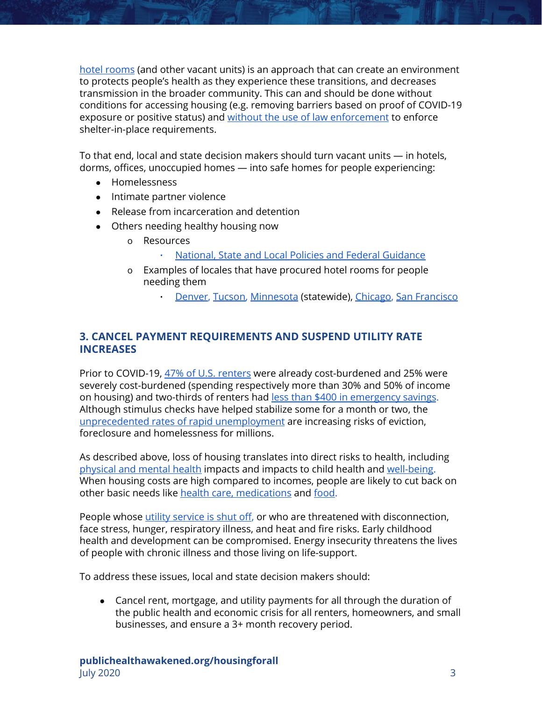[hotel rooms](https://publichealth.berkeley.edu/wp-content/uploads/2020/04/For-the-Good-of-Us-All-Report.pdf) (and other vacant units) is an approach that can create an environment to protects people's health as they experience these transitions, and decreases transmission in the broader community. This can and should be done without conditions for accessing housing (e.g. removing barriers based on proof of COVID-19 exposure or positive status) and [without the use of law enforcement](https://humanimpact.org/wp-content/uploads/2020/05/HIP2-covid-faqs_2020.05.07fin.pdf) to enforce shelter-in-place requirements.

To that end, local and state decision makers should turn vacant units — in hotels, dorms, offices, unoccupied homes — into safe homes for people experiencing:

- Homelessness
- Intimate partner violence
- Release from incarceration and detention
- Others needing healthy housing now
	- o Resources
		- [National, State and Local Policies and Federal Guidance](https://nlihc.org/coronavirus-and-housing-homelessness)
	- o Examples of locales that have procured hotel rooms for people needing them
		- **[Denver](https://denverite.com/2020/05/04/denver-leases-downtown-hotel-aloft-to-shelter-people-experiencing-homelessness-during-coronavirus-outbreak/), [Tucson,](https://tucson.com/news/local/tucson-moves-some-homeless-into-hotels-to-decrease-coronavirus-spread/article_faaea331-8623-5a87-9cc2-17b6d60b9a01.html) [Minnesota](https://www.startribune.com/hundreds-of-homeles-minnesotans-move-to-area-hotels-as-officials-race-to-prevent-coronavirus-from-spreading-in-shelters/570183632/?refresh=true) (statewide), [Chicago,](https://www.chicagoreporter.com/growing-housing-crisis-must-become-a-priority-in-coronavirus-response/) [San Francisco](https://www.sfchronicle.com/bayarea/article/Protesters-hold-die-in-outside-Mayor-15239121.php)**

## **3. CANCEL PAYMENT REQUIREMENTS AND SUSPEND UTILITY RATE INCREASES**

Prior to COVID-19, [47% of U.S. renters](https://www.nytimes.com/2020/04/01/opinion/coronavirus-rent-freeze.html) were already cost-burdened and 25% were severely cost-burdened (spending respectively more than 30% and 50% of income on housing) and two-thirds of renters had [less than \\$400 in emergency savings.](https://www.theatlantic.com/ideas/archive/2020/05/cancel-rent/611059/) Although stimulus checks have helped stabilize some for a month or two, the [unprecedented rates of rapid unemployment](https://www.newyorker.com/news/our-columnists/cancel-the-rent?utm_source=onsite-share&utm_medium=email&utm_campaign=onsite-share&utm_brand=the-new-yorker) are increasing risks of eviction, foreclosure and homelessness for millions.

As described above, loss of housing translates into direct risks to health, including [physical and mental health](https://www.changelabsolutions.org/sites/default/files/HealthHousingStarterKit-HealthEffects-FINAL-20180531_0.pdf) impacts and impacts to child health and [well-being.](https://pediatrics.aappublications.org/content/early/2018/01/18/peds.2017-2199) When housing costs are high compared to incomes, people are likely to cut back on other basic needs like [health care, medications](https://www.sciencedirect.com/science/article/abs/pii/S0749379710004551) and [food.](https://www.jchs.harvard.edu/sites/default/files/harvard_jchs_state_of_the_nations_housing_2017.pdf)

People whose [utility service is shut off](http://www.turn.org/wp-content/uploads/2018/05/2018_TURN_Shut-Off-Report_FINAL.pdf), or who are threatened with disconnection, face stress, hunger, respiratory illness, and heat and fire risks. Early childhood health and development can be compromised. Energy insecurity threatens the lives of people with chronic illness and those living on life-support.

To address these issues, local and state decision makers should:

● Cancel rent, mortgage, and utility payments for all through the duration of the public health and economic crisis for all renters, homeowners, and small businesses, and ensure a 3+ month recovery period.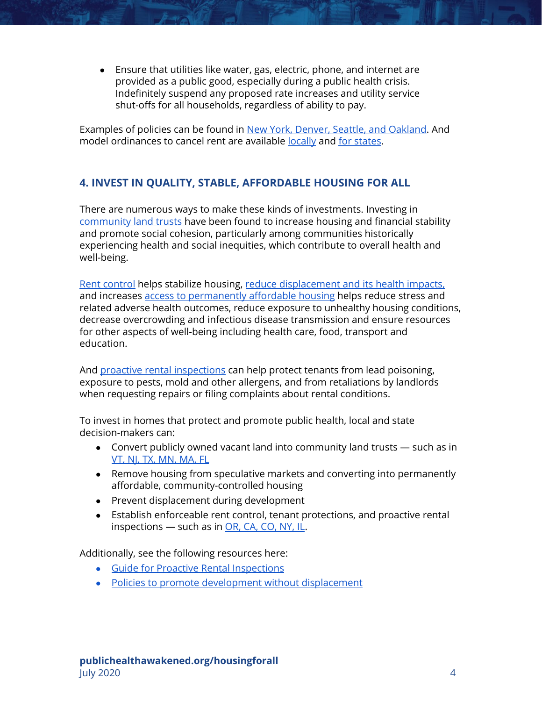● Ensure that utilities like water, gas, electric, phone, and internet are provided as a public good, especially during a public health crisis. Indefinitely suspend any proposed rate increases and utility service shut-offs for all households, regardless of ability to pay.

Examples of policies can be found in [New York, Denver, Seattle, and Oakland.](https://ourhomesourhealth.org/cancel-rent-reclaim-homes) And model ordinances to cancel rent are available [locally](https://ourhomesourhealth.org/cancel-rent-reclaim-homes/local-model-ordinance) and [for states](https://ourhomesourhealth.org/cancel-rent-reclaim-homes/state-model-ordinance).

## **4. INVEST IN QUALITY, STABLE, AFFORDABLE HOUSING FOR ALL**

There are numerous ways to make these kinds of investments. Investing in [community land trusts](https://jamanetwork.com/channels/health-forum/fullarticle/2762053) have been found to increase housing and financial stability and promote social cohesion, particularly among communities historically experiencing health and social inequities, which contribute to overall health and well-being.

[Rent control](https://haasinstitute.berkeley.edu/sites/default/files/haasinstitute_rentcontrol.pdf) helps stabilize housing, [reduce displacement and its health impacts,](http://barhii.org/wp-content/uploads/2016/02/BARHII-displacement-brief.pdf) and increases [access to permanently affordable housing](https://www.rupco.org/wp-content/uploads/pdfs/The-Impacts-of-Affordable-Housing-on-Health-CenterforHousingPolicy-Maqbool.etal.pdf) helps reduce stress and related adverse health outcomes, reduce exposure to unhealthy housing conditions, decrease overcrowding and infectious disease transmission and ensure resources for other aspects of well-being including health care, food, transport and education.

And [proactive rental inspections](https://www.changelabsolutions.org/product/healthy-housing-through-proactive-rental-inspection) can help protect tenants from lead poisoning, exposure to pests, mold and other allergens, and from retaliations by landlords when requesting repairs or filing complaints about rental conditions.

To invest in homes that protect and promote public health, local and state decision-makers can:

- Convert publicly owned vacant land into community land trusts such as in [VT, NJ, TX, MN, MA, FL](https://www.countyhealthrankings.org/take-action-to-improve-health/what-works-for-health/strategies/community-land-trusts)
- Remove housing from speculative markets and converting into permanently affordable, community-controlled housing
- Prevent displacement during development
- Establish enforceable rent control, tenant protections, and proactive rental inspections — such as in [OR, CA, CO, NY, IL](https://nextcity.org/daily/entry/rent-control-policies-gaining-momentum-across-america).

Additionally, see the following resources here:

- [Guide for Proactive Rental Inspections](https://www.changelabsolutions.org/sites/default/files/Proactive-Rental-Inspection-Programs_Guide_FINAL_20140204.pdf)
- [Policies to promote development without displacement](https://cjjc.org/publication/development-without-displacement-resisting-gentrification-in-the-bay-area/)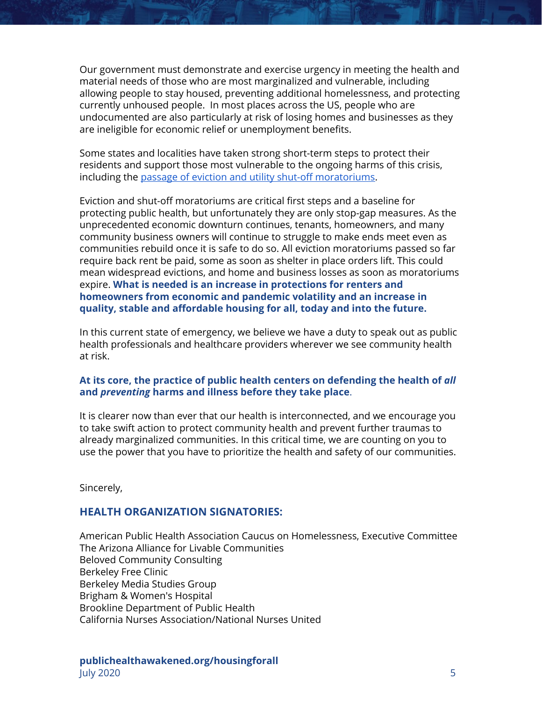Our government must demonstrate and exercise urgency in meeting the health and material needs of those who are most marginalized and vulnerable, including allowing people to stay housed, preventing additional homelessness, and protecting currently unhoused people. In most places across the US, people who are undocumented are also particularly at risk of losing homes and businesses as they are ineligible for economic relief or unemployment benefits.

Some states and localities have taken strong short-term steps to protect their residents and support those most vulnerable to the ongoing harms of this crisis, including the [passage of eviction and utility shut-off moratoriums.](https://evictionlab.org/covid-policy-scorecard/)

Eviction and shut-off moratoriums are critical first steps and a baseline for protecting public health, but unfortunately they are only stop-gap measures. As the unprecedented economic downturn continues, tenants, homeowners, and many community business owners will continue to struggle to make ends meet even as communities rebuild once it is safe to do so. All eviction moratoriums passed so far require back rent be paid, some as soon as shelter in place orders lift. This could mean widespread evictions, and home and business losses as soon as moratoriums expire. **What is needed is an increase in protections for renters and homeowners from economic and pandemic volatility and an increase in quality, stable and affordable housing for all, today and into the future.**

In this current state of emergency, we believe we have a duty to speak out as public health professionals and healthcare providers wherever we see community health at risk.

#### **At its core, the practice of public health centers on defending the health of** *all* **and** *preventing* **harms and illness before they take place**.

It is clearer now than ever that our health is interconnected, and we encourage you to take swift action to protect community health and prevent further traumas to already marginalized communities. In this critical time, we are counting on you to use the power that you have to prioritize the health and safety of our communities.

Sincerely,

#### **HEALTH ORGANIZATION SIGNATORIES:**

American Public Health Association Caucus on Homelessness, Executive Committee The Arizona Alliance for Livable Communities Beloved Community Consulting Berkeley Free Clinic Berkeley Media Studies Group Brigham & Women's Hospital Brookline Department of Public Health California Nurses Association/National Nurses United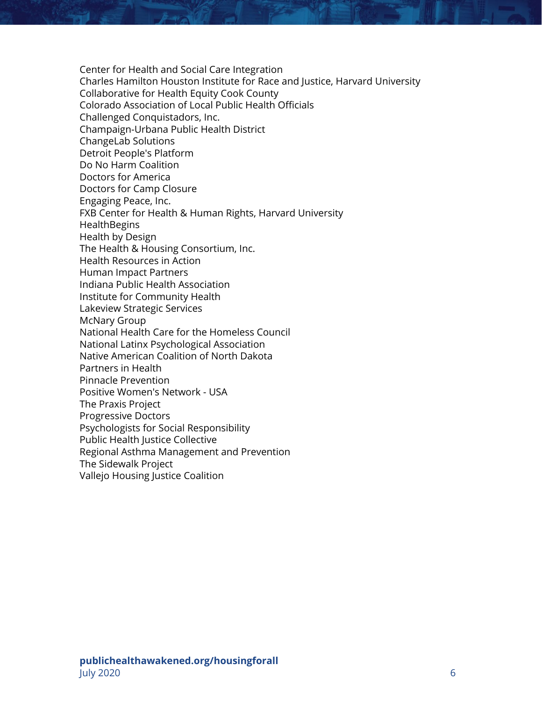Center for Health and Social Care Integration Charles Hamilton Houston Institute for Race and Justice, Harvard University Collaborative for Health Equity Cook County Colorado Association of Local Public Health Officials Challenged Conquistadors, Inc. Champaign-Urbana Public Health District ChangeLab Solutions Detroit People's Platform Do No Harm Coalition Doctors for America Doctors for Camp Closure Engaging Peace, Inc. FXB Center for Health & Human Rights, Harvard University **HealthBegins** Health by Design The Health & Housing Consortium, Inc. Health Resources in Action Human Impact Partners Indiana Public Health Association Institute for Community Health Lakeview Strategic Services McNary Group National Health Care for the Homeless Council National Latinx Psychological Association Native American Coalition of North Dakota Partners in Health Pinnacle Prevention Positive Women's Network - USA The Praxis Project Progressive Doctors Psychologists for Social Responsibility Public Health Justice Collective Regional Asthma Management and Prevention The Sidewalk Project Vallejo Housing Justice Coalition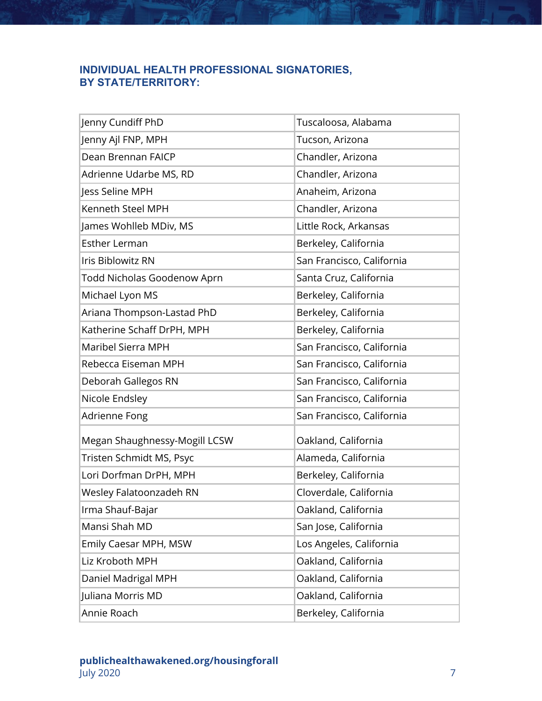## **INDIVIDUAL HEALTH PROFESSIONAL SIGNATORIES, BY STATE/TERRITORY:**

| Jenny Cundiff PhD             | Tuscaloosa, Alabama       |
|-------------------------------|---------------------------|
| Jenny Ajl FNP, MPH            | Tucson, Arizona           |
| Dean Brennan FAICP            | Chandler, Arizona         |
| Adrienne Udarbe MS, RD        | Chandler, Arizona         |
| Jess Seline MPH               | Anaheim, Arizona          |
| Kenneth Steel MPH             | Chandler, Arizona         |
| James Wohlleb MDiv, MS        | Little Rock, Arkansas     |
| <b>Esther Lerman</b>          | Berkeley, California      |
| Iris Biblowitz RN             | San Francisco, California |
| Todd Nicholas Goodenow Aprn   | Santa Cruz, California    |
| Michael Lyon MS               | Berkeley, California      |
| Ariana Thompson-Lastad PhD    | Berkeley, California      |
| Katherine Schaff DrPH, MPH    | Berkeley, California      |
| Maribel Sierra MPH            | San Francisco, California |
| Rebecca Eiseman MPH           | San Francisco, California |
| Deborah Gallegos RN           | San Francisco, California |
| Nicole Endsley                | San Francisco, California |
| Adrienne Fong                 | San Francisco, California |
| Megan Shaughnessy-Mogill LCSW | Oakland, California       |
| Tristen Schmidt MS, Psyc      | Alameda, California       |
| Lori Dorfman DrPH, MPH        | Berkeley, California      |
| Wesley Falatoonzadeh RN       | Cloverdale, California    |
| Irma Shauf-Bajar              | Oakland, California       |
| Mansi Shah MD                 | San Jose, California      |
| Emily Caesar MPH, MSW         | Los Angeles, California   |
| Liz Kroboth MPH               | Oakland, California       |
| Daniel Madrigal MPH           | Oakland, California       |
| Juliana Morris MD             | Oakland, California       |
| Annie Roach                   | Berkeley, California      |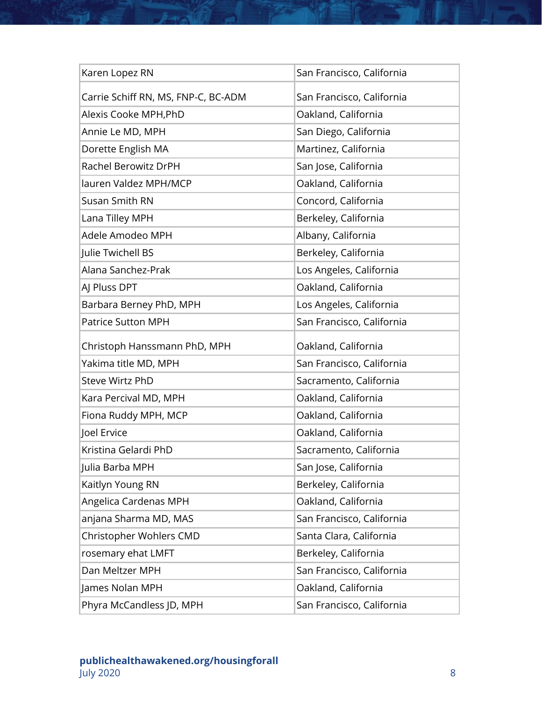| Karen Lopez RN                      | San Francisco, California |
|-------------------------------------|---------------------------|
| Carrie Schiff RN, MS, FNP-C, BC-ADM | San Francisco, California |
| Alexis Cooke MPH, PhD               | Oakland, California       |
| Annie Le MD, MPH                    | San Diego, California     |
| Dorette English MA                  | Martinez, California      |
| Rachel Berowitz DrPH                | San Jose, California      |
| lauren Valdez MPH/MCP               | Oakland, California       |
| Susan Smith RN                      | Concord, California       |
| Lana Tilley MPH                     | Berkeley, California      |
| Adele Amodeo MPH                    | Albany, California        |
| Julie Twichell BS                   | Berkeley, California      |
| Alana Sanchez-Prak                  | Los Angeles, California   |
| AJ Pluss DPT                        | Oakland, California       |
| Barbara Berney PhD, MPH             | Los Angeles, California   |
| <b>Patrice Sutton MPH</b>           | San Francisco, California |
| Christoph Hanssmann PhD, MPH        | Oakland, California       |
| Yakima title MD, MPH                | San Francisco, California |
|                                     |                           |
| <b>Steve Wirtz PhD</b>              | Sacramento, California    |
| Kara Percival MD, MPH               | Oakland, California       |
| Fiona Ruddy MPH, MCP                | Oakland, California       |
| Joel Ervice                         | Oakland, California       |
| Kristina Gelardi PhD                | Sacramento, California    |
| Julia Barba MPH                     | San Jose, California      |
| Kaitlyn Young RN                    | Berkeley, California      |
| Angelica Cardenas MPH               | Oakland, California       |
| anjana Sharma MD, MAS               | San Francisco, California |
| Christopher Wohlers CMD             | Santa Clara, California   |
| rosemary ehat LMFT                  | Berkeley, California      |
| Dan Meltzer MPH                     | San Francisco, California |
| James Nolan MPH                     | Oakland, California       |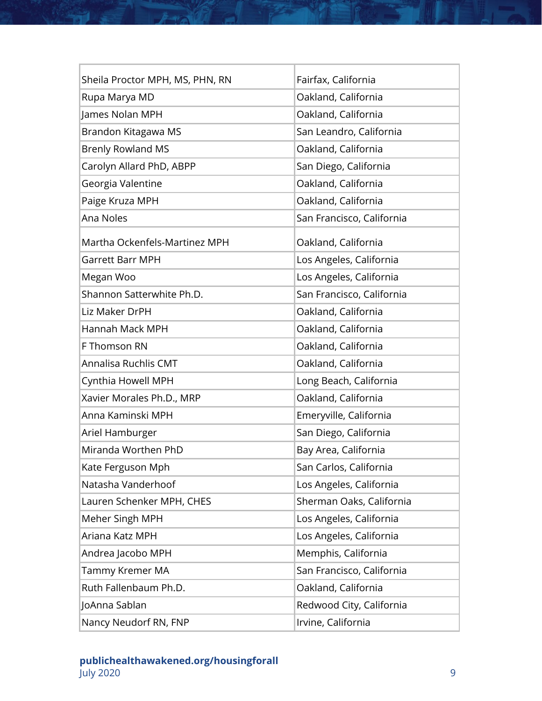| Sheila Proctor MPH, MS, PHN, RN | Fairfax, California       |
|---------------------------------|---------------------------|
| Rupa Marya MD                   | Oakland, California       |
| James Nolan MPH                 | Oakland, California       |
| Brandon Kitagawa MS             | San Leandro, California   |
| <b>Brenly Rowland MS</b>        | Oakland, California       |
| Carolyn Allard PhD, ABPP        | San Diego, California     |
| Georgia Valentine               | Oakland, California       |
| Paige Kruza MPH                 | Oakland, California       |
| Ana Noles                       | San Francisco, California |
| Martha Ockenfels-Martinez MPH   | Oakland, California       |
| <b>Garrett Barr MPH</b>         | Los Angeles, California   |
| Megan Woo                       | Los Angeles, California   |
| Shannon Satterwhite Ph.D.       | San Francisco, California |
| Liz Maker DrPH                  | Oakland, California       |
| Hannah Mack MPH                 | Oakland, California       |
| F Thomson RN                    | Oakland, California       |
| Annalisa Ruchlis CMT            | Oakland, California       |
| Cynthia Howell MPH              | Long Beach, California    |
| Xavier Morales Ph.D., MRP       | Oakland, California       |
| Anna Kaminski MPH               | Emeryville, California    |
| Ariel Hamburger                 | San Diego, California     |
| Miranda Worthen PhD             | Bay Area, California      |
| Kate Ferguson Mph               | San Carlos, California    |
| Natasha Vanderhoof              | Los Angeles, California   |
| Lauren Schenker MPH, CHES       | Sherman Oaks, California  |
| Meher Singh MPH                 | Los Angeles, California   |
| Ariana Katz MPH                 | Los Angeles, California   |
| Andrea Jacobo MPH               | Memphis, California       |
| Tammy Kremer MA                 | San Francisco, California |
| Ruth Fallenbaum Ph.D.           | Oakland, California       |
| JoAnna Sablan                   | Redwood City, California  |
| Nancy Neudorf RN, FNP           | Irvine, California        |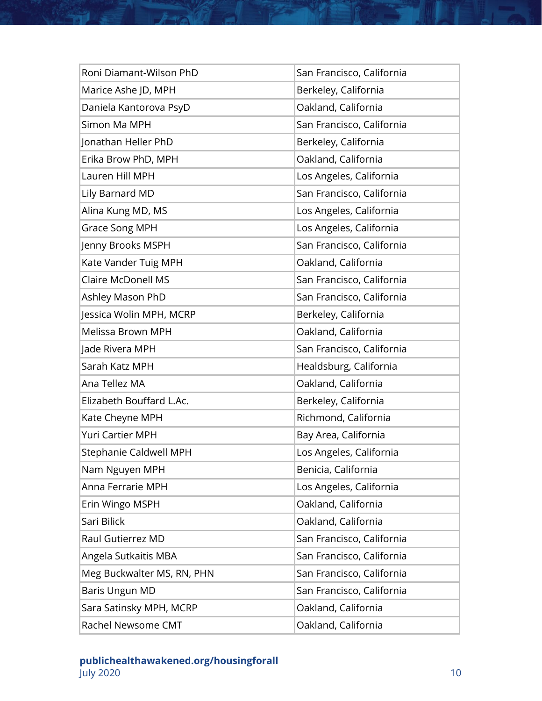| Roni Diamant-Wilson PhD    | San Francisco, California |
|----------------------------|---------------------------|
| Marice Ashe JD, MPH        | Berkeley, California      |
| Daniela Kantorova PsyD     | Oakland, California       |
| Simon Ma MPH               | San Francisco, California |
| Jonathan Heller PhD        | Berkeley, California      |
| Erika Brow PhD, MPH        | Oakland, California       |
| Lauren Hill MPH            | Los Angeles, California   |
| Lily Barnard MD            | San Francisco, California |
| Alina Kung MD, MS          | Los Angeles, California   |
| <b>Grace Song MPH</b>      | Los Angeles, California   |
| Jenny Brooks MSPH          | San Francisco, California |
| Kate Vander Tuig MPH       | Oakland, California       |
| <b>Claire McDonell MS</b>  | San Francisco, California |
| Ashley Mason PhD           | San Francisco, California |
| Jessica Wolin MPH, MCRP    | Berkeley, California      |
| Melissa Brown MPH          | Oakland, California       |
| Jade Rivera MPH            | San Francisco, California |
| Sarah Katz MPH             | Healdsburg, California    |
| Ana Tellez MA              | Oakland, California       |
| Elizabeth Bouffard L.Ac.   | Berkeley, California      |
| Kate Cheyne MPH            | Richmond, California      |
| <b>Yuri Cartier MPH</b>    | Bay Area, California      |
| Stephanie Caldwell MPH     | Los Angeles, California   |
| Nam Nguyen MPH             | Benicia, California       |
| Anna Ferrarie MPH          | Los Angeles, California   |
| Erin Wingo MSPH            | Oakland, California       |
| Sari Bilick                | Oakland, California       |
| Raul Gutierrez MD          | San Francisco, California |
| Angela Sutkaitis MBA       | San Francisco, California |
| Meg Buckwalter MS, RN, PHN | San Francisco, California |
| Baris Ungun MD             | San Francisco, California |
| Sara Satinsky MPH, MCRP    | Oakland, California       |
| Rachel Newsome CMT         | Oakland, California       |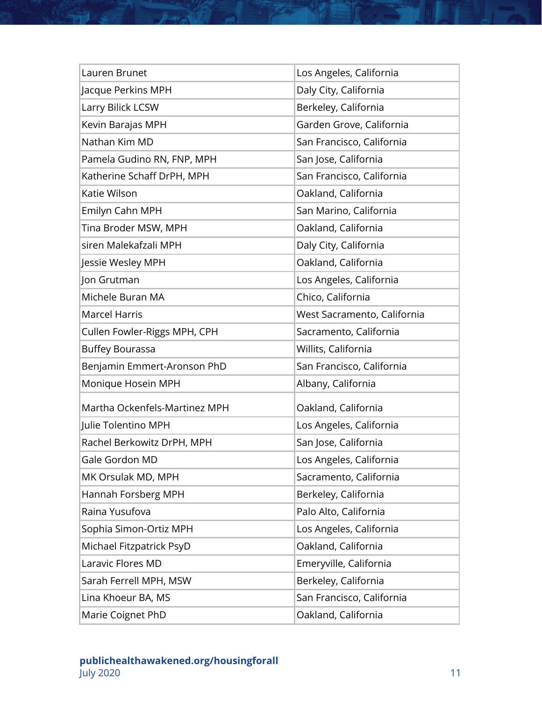| Lauren Brunet                 | Los Angeles, California     |
|-------------------------------|-----------------------------|
| Jacque Perkins MPH            | Daly City, California       |
| Larry Bilick LCSW             | Berkeley, California        |
| Kevin Barajas MPH             | Garden Grove, California    |
| Nathan Kim MD                 | San Francisco, California   |
| Pamela Gudino RN, FNP, MPH    | San Jose, California        |
| Katherine Schaff DrPH, MPH    | San Francisco, California   |
| Katie Wilson                  | Oakland, California         |
| Emilyn Cahn MPH               | San Marino, California      |
| Tina Broder MSW, MPH          | Oakland, California         |
| siren Malekafzali MPH         | Daly City, California       |
| Jessie Wesley MPH             | Oakland, California         |
| Jon Grutman                   | Los Angeles, California     |
| Michele Buran MA              | Chico, California           |
| <b>Marcel Harris</b>          | West Sacramento, California |
| Cullen Fowler-Riggs MPH, CPH  | Sacramento, California      |
| <b>Buffey Bourassa</b>        | Willits, California         |
| Benjamin Emmert-Aronson PhD   | San Francisco, California   |
| Monique Hosein MPH            | Albany, California          |
| Martha Ockenfels-Martinez MPH | Oakland, California         |
| Julie Tolentino MPH           | Los Angeles, California     |
| Rachel Berkowitz DrPH, MPH    | San Jose, California        |
| Gale Gordon MD                | Los Angeles, California     |
| MK Orsulak MD, MPH            | Sacramento, California      |
| Hannah Forsberg MPH           | Berkeley, California        |
| Raina Yusufova                | Palo Alto, California       |
| Sophia Simon-Ortiz MPH        | Los Angeles, California     |
| Michael Fitzpatrick PsyD      | Oakland, California         |
| Laravic Flores MD             | Emeryville, California      |
| Sarah Ferrell MPH, MSW        | Berkeley, California        |
| Lina Khoeur BA, MS            | San Francisco, California   |
| Marie Coignet PhD             | Oakland, California         |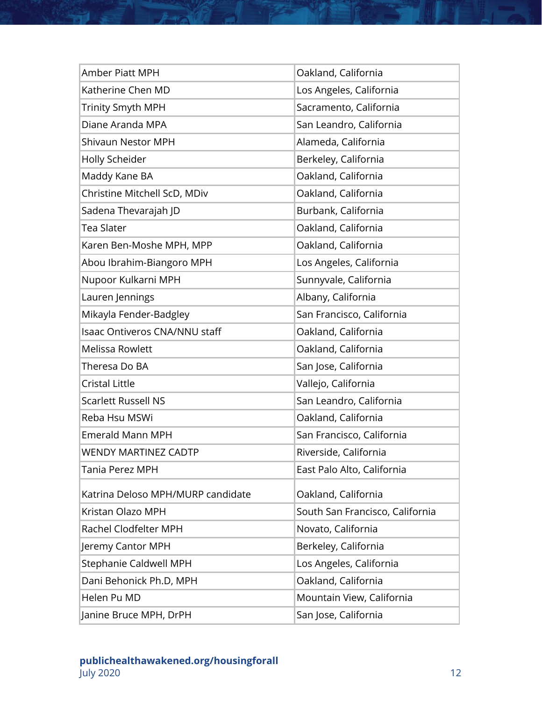| <b>Amber Piatt MPH</b>            | Oakland, California             |
|-----------------------------------|---------------------------------|
| Katherine Chen MD                 | Los Angeles, California         |
| <b>Trinity Smyth MPH</b>          | Sacramento, California          |
| Diane Aranda MPA                  | San Leandro, California         |
| <b>Shivaun Nestor MPH</b>         | Alameda, California             |
| Holly Scheider                    | Berkeley, California            |
| Maddy Kane BA                     | Oakland, California             |
| Christine Mitchell ScD, MDiv      | Oakland, California             |
| Sadena Thevarajah JD              | Burbank, California             |
| Tea Slater                        | Oakland, California             |
| Karen Ben-Moshe MPH, MPP          | Oakland, California             |
| Abou Ibrahim-Biangoro MPH         | Los Angeles, California         |
| Nupoor Kulkarni MPH               | Sunnyvale, California           |
| Lauren Jennings                   | Albany, California              |
| Mikayla Fender-Badgley            | San Francisco, California       |
| Isaac Ontiveros CNA/NNU staff     | Oakland, California             |
| Melissa Rowlett                   | Oakland, California             |
| Theresa Do BA                     | San Jose, California            |
| <b>Cristal Little</b>             | Vallejo, California             |
| <b>Scarlett Russell NS</b>        | San Leandro, California         |
| Reba Hsu MSWi                     | Oakland, California             |
| <b>Emerald Mann MPH</b>           | San Francisco, California       |
| <b>WENDY MARTINEZ CADTP</b>       | Riverside, California           |
| Tania Perez MPH                   | East Palo Alto, California      |
| Katrina Deloso MPH/MURP candidate | Oakland, California             |
| Kristan Olazo MPH                 | South San Francisco, California |
| Rachel Clodfelter MPH             | Novato, California              |
| Jeremy Cantor MPH                 | Berkeley, California            |
| Stephanie Caldwell MPH            | Los Angeles, California         |
| Dani Behonick Ph.D, MPH           | Oakland, California             |
| Helen Pu MD                       | Mountain View, California       |
| Janine Bruce MPH, DrPH            | San Jose, California            |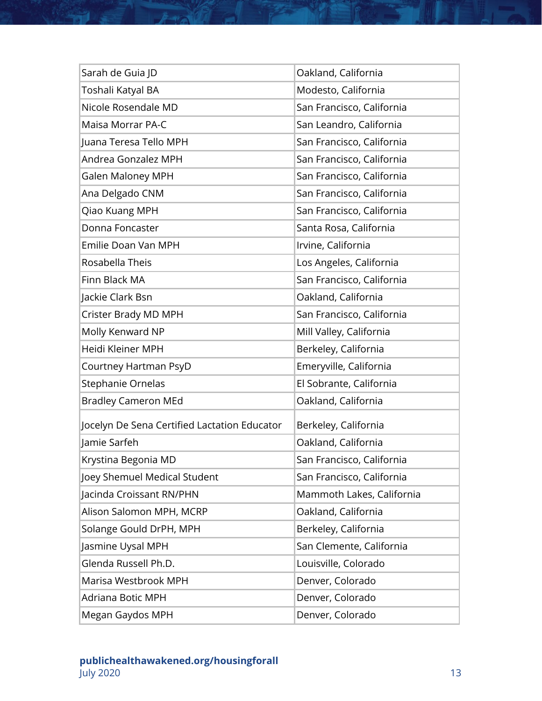| Sarah de Guia JD                             | Oakland, California       |
|----------------------------------------------|---------------------------|
| Toshali Katyal BA                            | Modesto, California       |
| Nicole Rosendale MD                          | San Francisco, California |
| Maisa Morrar PA-C                            | San Leandro, California   |
| Juana Teresa Tello MPH                       | San Francisco, California |
| Andrea Gonzalez MPH                          | San Francisco, California |
| <b>Galen Maloney MPH</b>                     | San Francisco, California |
| Ana Delgado CNM                              | San Francisco, California |
| Qiao Kuang MPH                               | San Francisco, California |
| Donna Foncaster                              | Santa Rosa, California    |
| Emilie Doan Van MPH                          | Irvine, California        |
| Rosabella Theis                              | Los Angeles, California   |
| Finn Black MA                                | San Francisco, California |
| Jackie Clark Bsn                             | Oakland, California       |
| Crister Brady MD MPH                         | San Francisco, California |
| Molly Kenward NP                             | Mill Valley, California   |
| Heidi Kleiner MPH                            | Berkeley, California      |
| Courtney Hartman PsyD                        | Emeryville, California    |
| Stephanie Ornelas                            | El Sobrante, California   |
| <b>Bradley Cameron MEd</b>                   | Oakland, California       |
| Jocelyn De Sena Certified Lactation Educator | Berkeley, California      |
| Jamie Sarfeh                                 | Oakland, California       |
| Krystina Begonia MD                          | San Francisco, California |
| Joey Shemuel Medical Student                 | San Francisco, California |
| Jacinda Croissant RN/PHN                     | Mammoth Lakes, California |
| Alison Salomon MPH, MCRP                     | Oakland, California       |
| Solange Gould DrPH, MPH                      | Berkeley, California      |
| Jasmine Uysal MPH                            | San Clemente, California  |
| Glenda Russell Ph.D.                         | Louisville, Colorado      |
| Marisa Westbrook MPH                         | Denver, Colorado          |
| Adriana Botic MPH                            | Denver, Colorado          |
| Megan Gaydos MPH                             | Denver, Colorado          |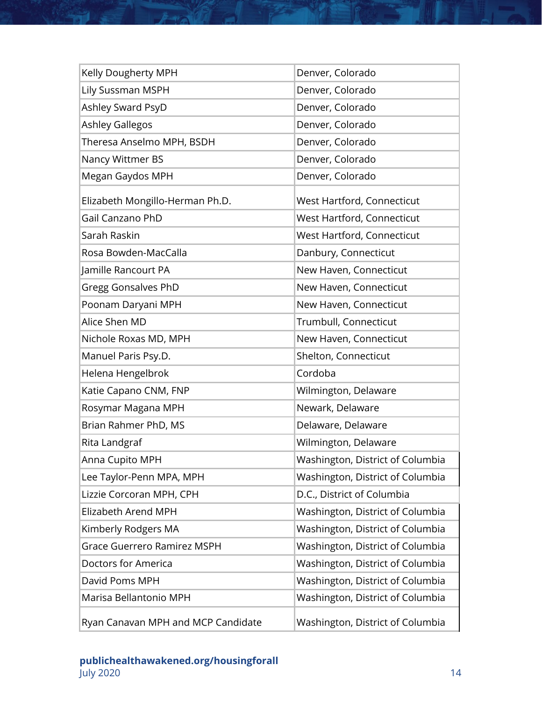| Kelly Dougherty MPH                | Denver, Colorado                 |
|------------------------------------|----------------------------------|
| Lily Sussman MSPH                  | Denver, Colorado                 |
| Ashley Sward PsyD                  | Denver, Colorado                 |
| <b>Ashley Gallegos</b>             | Denver, Colorado                 |
| Theresa Anselmo MPH, BSDH          | Denver, Colorado                 |
| Nancy Wittmer BS                   | Denver, Colorado                 |
| Megan Gaydos MPH                   | Denver, Colorado                 |
| Elizabeth Mongillo-Herman Ph.D.    | West Hartford, Connecticut       |
| Gail Canzano PhD                   | West Hartford, Connecticut       |
| Sarah Raskin                       | West Hartford, Connecticut       |
| Rosa Bowden-MacCalla               | Danbury, Connecticut             |
| Jamille Rancourt PA                | New Haven, Connecticut           |
| <b>Gregg Gonsalves PhD</b>         | New Haven, Connecticut           |
| Poonam Daryani MPH                 | New Haven, Connecticut           |
| Alice Shen MD                      | Trumbull, Connecticut            |
| Nichole Roxas MD, MPH              | New Haven, Connecticut           |
| Manuel Paris Psy.D.                | Shelton, Connecticut             |
| Helena Hengelbrok                  | Cordoba                          |
| Katie Capano CNM, FNP              | Wilmington, Delaware             |
| Rosymar Magana MPH                 | Newark, Delaware                 |
| Brian Rahmer PhD, MS               | Delaware, Delaware               |
| Rita Landgraf                      | Wilmington, Delaware             |
| Anna Cupito MPH                    | Washington, District of Columbia |
| Lee Taylor-Penn MPA, MPH           | Washington, District of Columbia |
| Lizzie Corcoran MPH, CPH           | D.C., District of Columbia       |
| Elizabeth Arend MPH                | Washington, District of Columbia |
| Kimberly Rodgers MA                | Washington, District of Columbia |
| <b>Grace Guerrero Ramirez MSPH</b> | Washington, District of Columbia |
| Doctors for America                | Washington, District of Columbia |
| David Poms MPH                     | Washington, District of Columbia |
| Marisa Bellantonio MPH             | Washington, District of Columbia |
| Ryan Canavan MPH and MCP Candidate | Washington, District of Columbia |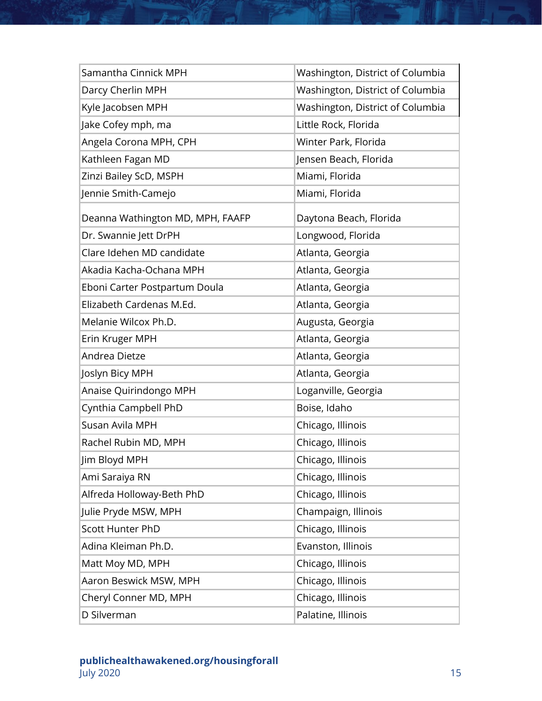| Samantha Cinnick MPH             | Washington, District of Columbia |
|----------------------------------|----------------------------------|
| Darcy Cherlin MPH                | Washington, District of Columbia |
| Kyle Jacobsen MPH                | Washington, District of Columbia |
| Jake Cofey mph, ma               | Little Rock, Florida             |
| Angela Corona MPH, CPH           | Winter Park, Florida             |
| Kathleen Fagan MD                | Jensen Beach, Florida            |
| Zinzi Bailey ScD, MSPH           | Miami, Florida                   |
| Jennie Smith-Camejo              | Miami, Florida                   |
| Deanna Wathington MD, MPH, FAAFP | Daytona Beach, Florida           |
| Dr. Swannie Jett DrPH            | Longwood, Florida                |
| Clare Idehen MD candidate        | Atlanta, Georgia                 |
| Akadia Kacha-Ochana MPH          | Atlanta, Georgia                 |
| Eboni Carter Postpartum Doula    | Atlanta, Georgia                 |
| Elizabeth Cardenas M.Ed.         | Atlanta, Georgia                 |
| Melanie Wilcox Ph.D.             | Augusta, Georgia                 |
| Erin Kruger MPH                  | Atlanta, Georgia                 |
| Andrea Dietze                    | Atlanta, Georgia                 |
| Joslyn Bicy MPH                  | Atlanta, Georgia                 |
| Anaise Quirindongo MPH           | Loganville, Georgia              |
| Cynthia Campbell PhD             | Boise, Idaho                     |
| Susan Avila MPH                  | Chicago, Illinois                |
| Rachel Rubin MD, MPH             | Chicago, Illinois                |
| Jim Bloyd MPH                    | Chicago, Illinois                |
| Ami Saraiya RN                   | Chicago, Illinois                |
| Alfreda Holloway-Beth PhD        | Chicago, Illinois                |
| Julie Pryde MSW, MPH             | Champaign, Illinois              |
| <b>Scott Hunter PhD</b>          | Chicago, Illinois                |
| Adina Kleiman Ph.D.              | Evanston, Illinois               |
| Matt Moy MD, MPH                 | Chicago, Illinois                |
| Aaron Beswick MSW, MPH           | Chicago, Illinois                |
| Cheryl Conner MD, MPH            | Chicago, Illinois                |
| D Silverman                      | Palatine, Illinois               |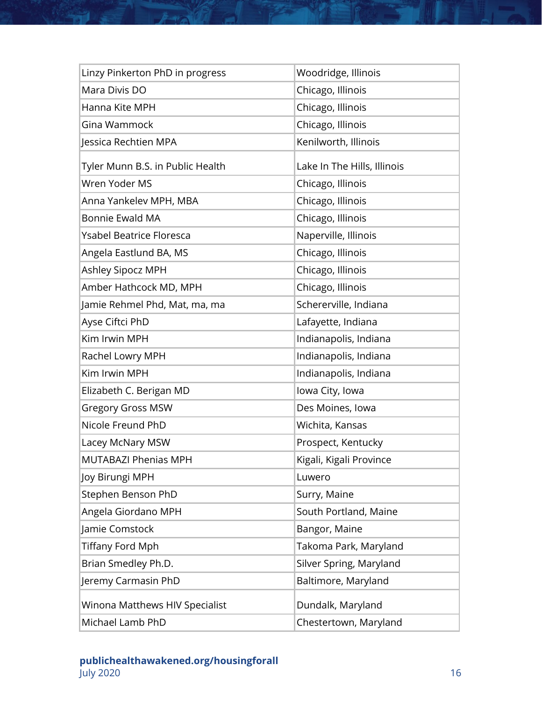| Linzy Pinkerton PhD in progress  | Woodridge, Illinois         |
|----------------------------------|-----------------------------|
| Mara Divis DO                    | Chicago, Illinois           |
| Hanna Kite MPH                   | Chicago, Illinois           |
| Gina Wammock                     | Chicago, Illinois           |
| Jessica Rechtien MPA             | Kenilworth, Illinois        |
| Tyler Munn B.S. in Public Health | Lake In The Hills, Illinois |
| Wren Yoder MS                    | Chicago, Illinois           |
| Anna Yankelev MPH, MBA           | Chicago, Illinois           |
| <b>Bonnie Ewald MA</b>           | Chicago, Illinois           |
| <b>Ysabel Beatrice Floresca</b>  | Naperville, Illinois        |
| Angela Eastlund BA, MS           | Chicago, Illinois           |
| Ashley Sipocz MPH                | Chicago, Illinois           |
| Amber Hathcock MD, MPH           | Chicago, Illinois           |
| Jamie Rehmel Phd, Mat, ma, ma    | Schererville, Indiana       |
| Ayse Ciftci PhD                  | Lafayette, Indiana          |
| Kim Irwin MPH                    | Indianapolis, Indiana       |
| Rachel Lowry MPH                 | Indianapolis, Indiana       |
| Kim Irwin MPH                    | Indianapolis, Indiana       |
| Elizabeth C. Berigan MD          | lowa City, Iowa             |
| <b>Gregory Gross MSW</b>         | Des Moines, Iowa            |
| Nicole Freund PhD                | Wichita, Kansas             |
| Lacey McNary MSW                 | Prospect, Kentucky          |
| <b>MUTABAZI Phenias MPH</b>      | Kigali, Kigali Province     |
| Joy Birungi MPH                  | Luwero                      |
| Stephen Benson PhD               | Surry, Maine                |
| Angela Giordano MPH              | South Portland, Maine       |
| Jamie Comstock                   | Bangor, Maine               |
| <b>Tiffany Ford Mph</b>          | Takoma Park, Maryland       |
| Brian Smedley Ph.D.              | Silver Spring, Maryland     |
| Jeremy Carmasin PhD              | Baltimore, Maryland         |
| Winona Matthews HIV Specialist   | Dundalk, Maryland           |
| Michael Lamb PhD                 | Chestertown, Maryland       |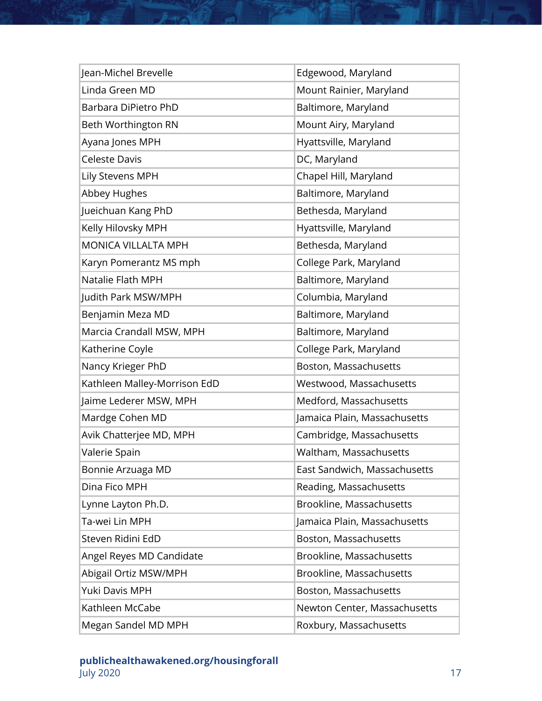| Jean-Michel Brevelle         | Edgewood, Maryland           |
|------------------------------|------------------------------|
| Linda Green MD               | Mount Rainier, Maryland      |
| Barbara DiPietro PhD         | Baltimore, Maryland          |
| Beth Worthington RN          | Mount Airy, Maryland         |
| Ayana Jones MPH              | Hyattsville, Maryland        |
| <b>Celeste Davis</b>         | DC, Maryland                 |
| Lily Stevens MPH             | Chapel Hill, Maryland        |
| Abbey Hughes                 | Baltimore, Maryland          |
| Jueichuan Kang PhD           | Bethesda, Maryland           |
| Kelly Hilovsky MPH           | Hyattsville, Maryland        |
| <b>MONICA VILLALTA MPH</b>   | Bethesda, Maryland           |
| Karyn Pomerantz MS mph       | College Park, Maryland       |
| Natalie Flath MPH            | Baltimore, Maryland          |
| Judith Park MSW/MPH          | Columbia, Maryland           |
| Benjamin Meza MD             | Baltimore, Maryland          |
| Marcia Crandall MSW, MPH     | Baltimore, Maryland          |
| Katherine Coyle              | College Park, Maryland       |
| Nancy Krieger PhD            | Boston, Massachusetts        |
| Kathleen Malley-Morrison EdD | Westwood, Massachusetts      |
| Jaime Lederer MSW, MPH       | Medford, Massachusetts       |
| Mardge Cohen MD              | Jamaica Plain, Massachusetts |
| Avik Chatterjee MD, MPH      | Cambridge, Massachusetts     |
| Valerie Spain                | Waltham, Massachusetts       |
| Bonnie Arzuaga MD            | East Sandwich, Massachusetts |
| Dina Fico MPH                | Reading, Massachusetts       |
| Lynne Layton Ph.D.           | Brookline, Massachusetts     |
| Ta-wei Lin MPH               | Jamaica Plain, Massachusetts |
| Steven Ridini EdD            | Boston, Massachusetts        |
| Angel Reyes MD Candidate     | Brookline, Massachusetts     |
| Abigail Ortiz MSW/MPH        | Brookline, Massachusetts     |
| Yuki Davis MPH               | Boston, Massachusetts        |
| Kathleen McCabe              | Newton Center, Massachusetts |
| Megan Sandel MD MPH          | Roxbury, Massachusetts       |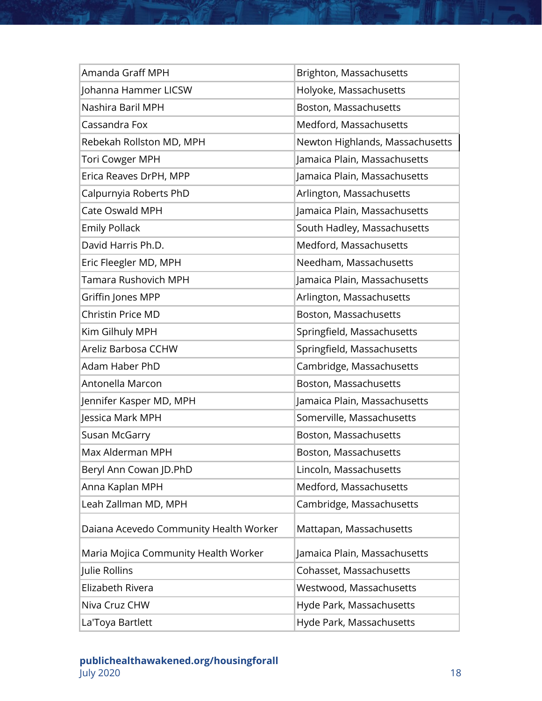| Amanda Graff MPH                       | Brighton, Massachusetts         |
|----------------------------------------|---------------------------------|
| Johanna Hammer LICSW                   | Holyoke, Massachusetts          |
| Nashira Baril MPH                      | Boston, Massachusetts           |
| Cassandra Fox                          | Medford, Massachusetts          |
| Rebekah Rollston MD, MPH               | Newton Highlands, Massachusetts |
| <b>Tori Cowger MPH</b>                 | Jamaica Plain, Massachusetts    |
| Erica Reaves DrPH, MPP                 | Jamaica Plain, Massachusetts    |
| Calpurnyia Roberts PhD                 | Arlington, Massachusetts        |
| Cate Oswald MPH                        | Jamaica Plain, Massachusetts    |
| <b>Emily Pollack</b>                   | South Hadley, Massachusetts     |
| David Harris Ph.D.                     | Medford, Massachusetts          |
| Eric Fleegler MD, MPH                  | Needham, Massachusetts          |
| Tamara Rushovich MPH                   | Jamaica Plain, Massachusetts    |
| Griffin Jones MPP                      | Arlington, Massachusetts        |
| Christin Price MD                      | Boston, Massachusetts           |
| Kim Gilhuly MPH                        | Springfield, Massachusetts      |
| Areliz Barbosa CCHW                    | Springfield, Massachusetts      |
| Adam Haber PhD                         | Cambridge, Massachusetts        |
| Antonella Marcon                       | Boston, Massachusetts           |
| Jennifer Kasper MD, MPH                | Jamaica Plain, Massachusetts    |
| Jessica Mark MPH                       | Somerville, Massachusetts       |
| Susan McGarry                          | Boston, Massachusetts           |
| Max Alderman MPH                       | Boston, Massachusetts           |
| Beryl Ann Cowan JD.PhD                 | Lincoln, Massachusetts          |
| Anna Kaplan MPH                        | Medford, Massachusetts          |
| Leah Zallman MD, MPH                   | Cambridge, Massachusetts        |
| Daiana Acevedo Community Health Worker | Mattapan, Massachusetts         |
| Maria Mojica Community Health Worker   | Jamaica Plain, Massachusetts    |
| Julie Rollins                          | Cohasset, Massachusetts         |
| Elizabeth Rivera                       | Westwood, Massachusetts         |
| Niva Cruz CHW                          | Hyde Park, Massachusetts        |
| La'Toya Bartlett                       | Hyde Park, Massachusetts        |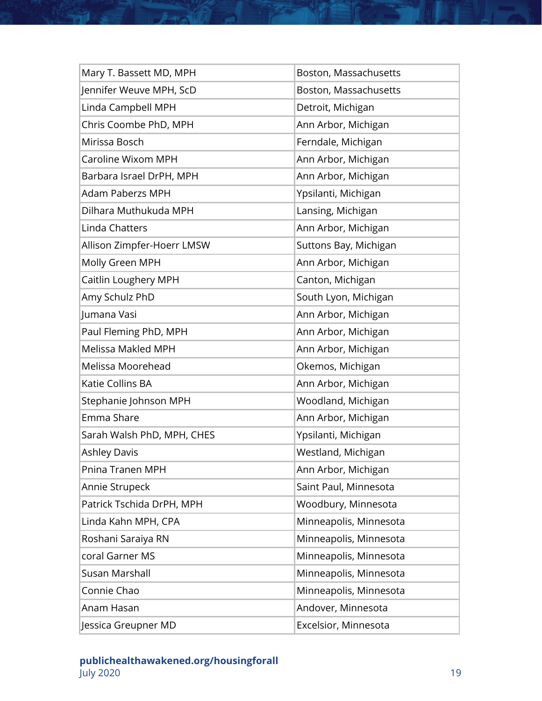| Mary T. Bassett MD, MPH    | Boston, Massachusetts  |
|----------------------------|------------------------|
| Jennifer Weuve MPH, ScD    | Boston, Massachusetts  |
| Linda Campbell MPH         | Detroit, Michigan      |
| Chris Coombe PhD, MPH      | Ann Arbor, Michigan    |
| Mirissa Bosch              | Ferndale, Michigan     |
| Caroline Wixom MPH         | Ann Arbor, Michigan    |
| Barbara Israel DrPH, MPH   | Ann Arbor, Michigan    |
| <b>Adam Paberzs MPH</b>    | Ypsilanti, Michigan    |
| Dilhara Muthukuda MPH      | Lansing, Michigan      |
| Linda Chatters             | Ann Arbor, Michigan    |
| Allison Zimpfer-Hoerr LMSW | Suttons Bay, Michigan  |
| Molly Green MPH            | Ann Arbor, Michigan    |
| Caitlin Loughery MPH       | Canton, Michigan       |
| Amy Schulz PhD             | South Lyon, Michigan   |
| Jumana Vasi                | Ann Arbor, Michigan    |
| Paul Fleming PhD, MPH      | Ann Arbor, Michigan    |
| <b>Melissa Makled MPH</b>  | Ann Arbor, Michigan    |
| Melissa Moorehead          | Okemos, Michigan       |
| Katie Collins BA           | Ann Arbor, Michigan    |
| Stephanie Johnson MPH      | Woodland, Michigan     |
| Emma Share                 | Ann Arbor, Michigan    |
| Sarah Walsh PhD, MPH, CHES | Ypsilanti, Michigan    |
| <b>Ashley Davis</b>        | Westland, Michigan     |
| Pnina Tranen MPH           | Ann Arbor, Michigan    |
| Annie Strupeck             | Saint Paul, Minnesota  |
| Patrick Tschida DrPH, MPH  | Woodbury, Minnesota    |
| Linda Kahn MPH, CPA        | Minneapolis, Minnesota |
| Roshani Saraiya RN         | Minneapolis, Minnesota |
| coral Garner MS            | Minneapolis, Minnesota |
| Susan Marshall             | Minneapolis, Minnesota |
| Connie Chao                | Minneapolis, Minnesota |
| Anam Hasan                 | Andover, Minnesota     |
| Jessica Greupner MD        | Excelsior, Minnesota   |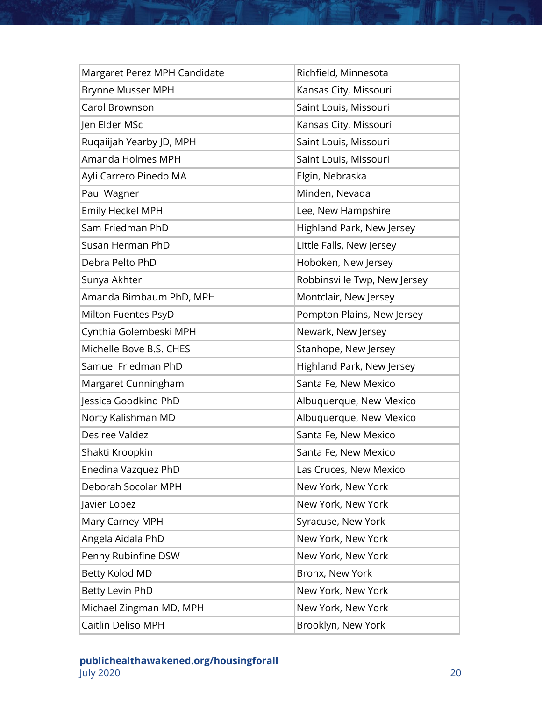| Margaret Perez MPH Candidate | Richfield, Minnesota         |
|------------------------------|------------------------------|
| Brynne Musser MPH            | Kansas City, Missouri        |
| Carol Brownson               | Saint Louis, Missouri        |
| Jen Elder MSc                | Kansas City, Missouri        |
| Ruqaiijah Yearby JD, MPH     | Saint Louis, Missouri        |
| Amanda Holmes MPH            | Saint Louis, Missouri        |
| Ayli Carrero Pinedo MA       | Elgin, Nebraska              |
| Paul Wagner                  | Minden, Nevada               |
| Emily Heckel MPH             | Lee, New Hampshire           |
| Sam Friedman PhD             | Highland Park, New Jersey    |
| Susan Herman PhD             | Little Falls, New Jersey     |
| Debra Pelto PhD              | Hoboken, New Jersey          |
| Sunya Akhter                 | Robbinsville Twp, New Jersey |
| Amanda Birnbaum PhD, MPH     | Montclair, New Jersey        |
| Milton Fuentes PsyD          | Pompton Plains, New Jersey   |
| Cynthia Golembeski MPH       | Newark, New Jersey           |
| Michelle Bove B.S. CHES      | Stanhope, New Jersey         |
| Samuel Friedman PhD          | Highland Park, New Jersey    |
| Margaret Cunningham          | Santa Fe, New Mexico         |
| Jessica Goodkind PhD         | Albuquerque, New Mexico      |
| Norty Kalishman MD           | Albuquerque, New Mexico      |
| Desiree Valdez               | Santa Fe, New Mexico         |
| Shakti Kroopkin              | Santa Fe, New Mexico         |
| Enedina Vazquez PhD          | Las Cruces, New Mexico       |
| Deborah Socolar MPH          | New York, New York           |
| Javier Lopez                 | New York, New York           |
| Mary Carney MPH              | Syracuse, New York           |
| Angela Aidala PhD            | New York, New York           |
| Penny Rubinfine DSW          | New York, New York           |
| Betty Kolod MD               | Bronx, New York              |
| Betty Levin PhD              | New York, New York           |
| Michael Zingman MD, MPH      | New York, New York           |
| Caitlin Deliso MPH           | Brooklyn, New York           |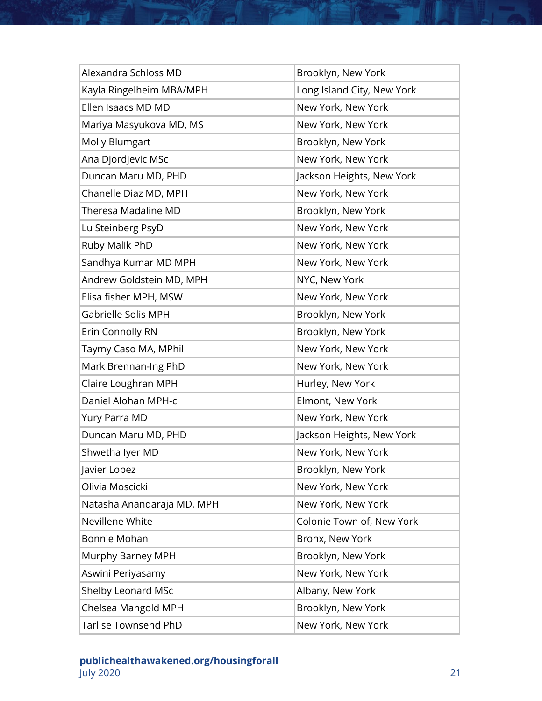| Alexandra Schloss MD        | Brooklyn, New York         |
|-----------------------------|----------------------------|
| Kayla Ringelheim MBA/MPH    | Long Island City, New York |
| Ellen Isaacs MD MD          | New York, New York         |
| Mariya Masyukova MD, MS     | New York, New York         |
| <b>Molly Blumgart</b>       | Brooklyn, New York         |
| Ana Djordjevic MSc          | New York, New York         |
| Duncan Maru MD, PHD         | Jackson Heights, New York  |
| Chanelle Diaz MD, MPH       | New York, New York         |
| Theresa Madaline MD         | Brooklyn, New York         |
| Lu Steinberg PsyD           | New York, New York         |
| Ruby Malik PhD              | New York, New York         |
| Sandhya Kumar MD MPH        | New York, New York         |
| Andrew Goldstein MD, MPH    | NYC, New York              |
| Elisa fisher MPH, MSW       | New York, New York         |
| Gabrielle Solis MPH         | Brooklyn, New York         |
| Erin Connolly RN            | Brooklyn, New York         |
| Taymy Caso MA, MPhil        | New York, New York         |
| Mark Brennan-Ing PhD        | New York, New York         |
| Claire Loughran MPH         | Hurley, New York           |
| Daniel Alohan MPH-c         | Elmont, New York           |
| Yury Parra MD               | New York, New York         |
| Duncan Maru MD, PHD         | Jackson Heights, New York  |
| Shwetha Iyer MD             | New York, New York         |
| Javier Lopez                | Brooklyn, New York         |
| Olivia Moscicki             | New York, New York         |
| Natasha Anandaraja MD, MPH  | New York, New York         |
| Nevillene White             | Colonie Town of, New York  |
| Bonnie Mohan                | Bronx, New York            |
| Murphy Barney MPH           | Brooklyn, New York         |
| Aswini Periyasamy           | New York, New York         |
| Shelby Leonard MSc          | Albany, New York           |
| Chelsea Mangold MPH         | Brooklyn, New York         |
| <b>Tarlise Townsend PhD</b> | New York, New York         |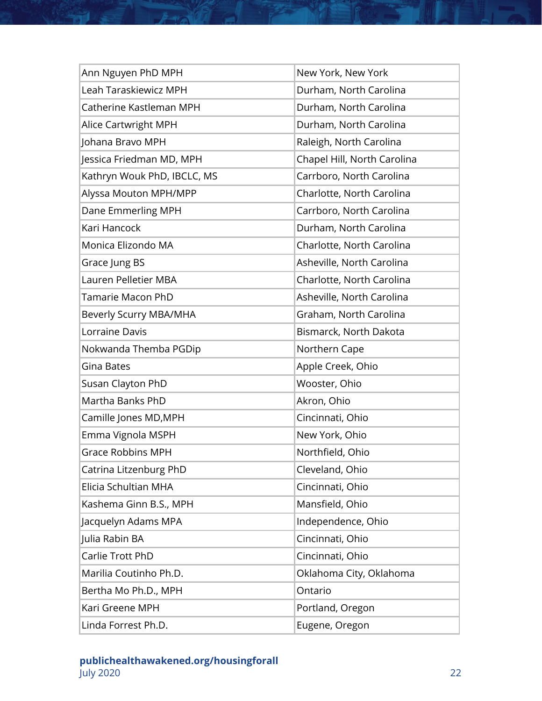| Ann Nguyen PhD MPH          | New York, New York          |
|-----------------------------|-----------------------------|
| Leah Taraskiewicz MPH       | Durham, North Carolina      |
| Catherine Kastleman MPH     | Durham, North Carolina      |
| Alice Cartwright MPH        | Durham, North Carolina      |
| Johana Bravo MPH            | Raleigh, North Carolina     |
| Jessica Friedman MD, MPH    | Chapel Hill, North Carolina |
| Kathryn Wouk PhD, IBCLC, MS | Carrboro, North Carolina    |
| Alyssa Mouton MPH/MPP       | Charlotte, North Carolina   |
| Dane Emmerling MPH          | Carrboro, North Carolina    |
| Kari Hancock                | Durham, North Carolina      |
| Monica Elizondo MA          | Charlotte, North Carolina   |
| Grace Jung BS               | Asheville, North Carolina   |
| Lauren Pelletier MBA        | Charlotte, North Carolina   |
| <b>Tamarie Macon PhD</b>    | Asheville, North Carolina   |
| Beverly Scurry MBA/MHA      | Graham, North Carolina      |
| Lorraine Davis              | Bismarck, North Dakota      |
| Nokwanda Themba PGDip       | Northern Cape               |
| Gina Bates                  | Apple Creek, Ohio           |
| Susan Clayton PhD           | Wooster, Ohio               |
| Martha Banks PhD            | Akron, Ohio                 |
| Camille Jones MD, MPH       | Cincinnati, Ohio            |
| Emma Vignola MSPH           | New York, Ohio              |
| <b>Grace Robbins MPH</b>    | Northfield, Ohio            |
| Catrina Litzenburg PhD      | Cleveland, Ohio             |
| Elicia Schultian MHA        | Cincinnati, Ohio            |
| Kashema Ginn B.S., MPH      | Mansfield, Ohio             |
| Jacquelyn Adams MPA         | Independence, Ohio          |
| Julia Rabin BA              | Cincinnati, Ohio            |
| Carlie Trott PhD            | Cincinnati, Ohio            |
| Marilia Coutinho Ph.D.      | Oklahoma City, Oklahoma     |
| Bertha Mo Ph.D., MPH        | Ontario                     |
| Kari Greene MPH             | Portland, Oregon            |
| Linda Forrest Ph.D.         | Eugene, Oregon              |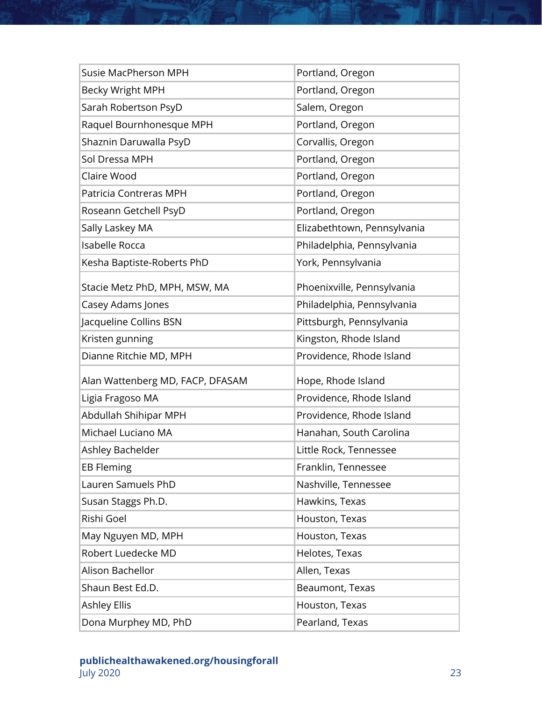| <b>Susie MacPherson MPH</b>      | Portland, Oregon            |
|----------------------------------|-----------------------------|
| Becky Wright MPH                 | Portland, Oregon            |
| Sarah Robertson PsyD             | Salem, Oregon               |
| Raquel Bournhonesque MPH         | Portland, Oregon            |
| Shaznin Daruwalla PsyD           | Corvallis, Oregon           |
| Sol Dressa MPH                   | Portland, Oregon            |
| Claire Wood                      | Portland, Oregon            |
| Patricia Contreras MPH           | Portland, Oregon            |
| Roseann Getchell PsyD            | Portland, Oregon            |
| Sally Laskey MA                  | Elizabethtown, Pennsylvania |
| Isabelle Rocca                   | Philadelphia, Pennsylvania  |
| Kesha Baptiste-Roberts PhD       | York, Pennsylvania          |
| Stacie Metz PhD, MPH, MSW, MA    | Phoenixville, Pennsylvania  |
| Casey Adams Jones                | Philadelphia, Pennsylvania  |
| Jacqueline Collins BSN           | Pittsburgh, Pennsylvania    |
| Kristen gunning                  | Kingston, Rhode Island      |
| Dianne Ritchie MD, MPH           | Providence, Rhode Island    |
| Alan Wattenberg MD, FACP, DFASAM | Hope, Rhode Island          |
| Ligia Fragoso MA                 | Providence, Rhode Island    |
| Abdullah Shihipar MPH            | Providence, Rhode Island    |
| Michael Luciano MA               | Hanahan, South Carolina     |
| Ashley Bachelder                 | Little Rock, Tennessee      |
|                                  |                             |
| <b>EB Fleming</b>                | Franklin, Tennessee         |
| Lauren Samuels PhD               | Nashville, Tennessee        |
| Susan Staggs Ph.D.               | Hawkins, Texas              |
| Rishi Goel                       | Houston, Texas              |
| May Nguyen MD, MPH               | Houston, Texas              |
| Robert Luedecke MD               | Helotes, Texas              |
| Alison Bachellor                 | Allen, Texas                |
| Shaun Best Ed.D.                 | Beaumont, Texas             |
| <b>Ashley Ellis</b>              | Houston, Texas              |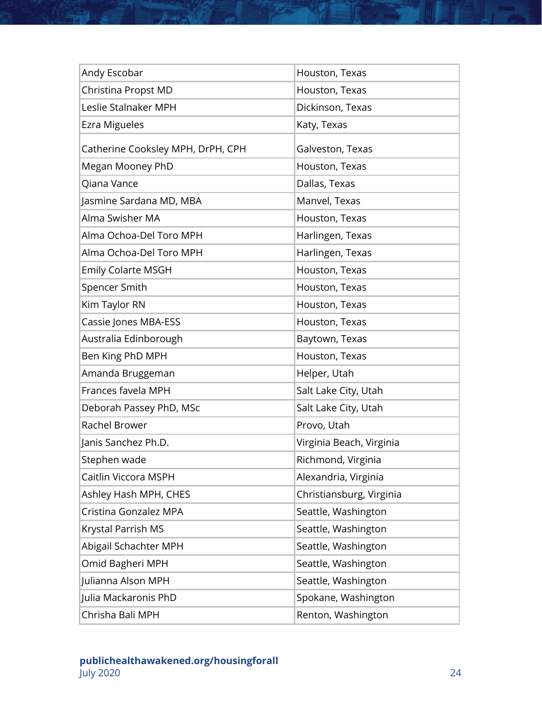| Andy Escobar                      | Houston, Texas           |
|-----------------------------------|--------------------------|
| Christina Propst MD               | Houston, Texas           |
| Leslie Stalnaker MPH              | Dickinson, Texas         |
| Ezra Migueles                     | Katy, Texas              |
| Catherine Cooksley MPH, DrPH, CPH | Galveston, Texas         |
| Megan Mooney PhD                  | Houston, Texas           |
| Qiana Vance                       | Dallas, Texas            |
| Jasmine Sardana MD, MBA           | Manvel, Texas            |
| Alma Swisher MA                   | Houston, Texas           |
| Alma Ochoa-Del Toro MPH           | Harlingen, Texas         |
| Alma Ochoa-Del Toro MPH           | Harlingen, Texas         |
| <b>Emily Colarte MSGH</b>         | Houston, Texas           |
| Spencer Smith                     | Houston, Texas           |
| Kim Taylor RN                     | Houston, Texas           |
| Cassie Jones MBA-ESS              | Houston, Texas           |
| Australia Edinborough             | Baytown, Texas           |
| Ben King PhD MPH                  | Houston, Texas           |
| Amanda Bruggeman                  | Helper, Utah             |
| Frances favela MPH                | Salt Lake City, Utah     |
| Deborah Passey PhD, MSc           | Salt Lake City, Utah     |
| Rachel Brower                     | Provo, Utah              |
| Janis Sanchez Ph.D.               | Virginia Beach, Virginia |
| Stephen wade                      | Richmond, Virginia       |
| Caitlin Viccora MSPH              | Alexandria, Virginia     |
| Ashley Hash MPH, CHES             | Christiansburg, Virginia |
| Cristina Gonzalez MPA             | Seattle, Washington      |
| Krystal Parrish MS                | Seattle, Washington      |
| Abigail Schachter MPH             | Seattle, Washington      |
| Omid Bagheri MPH                  | Seattle, Washington      |
| Julianna Alson MPH                | Seattle, Washington      |
| Julia Mackaronis PhD              | Spokane, Washington      |
| Chrisha Bali MPH                  | Renton, Washington       |